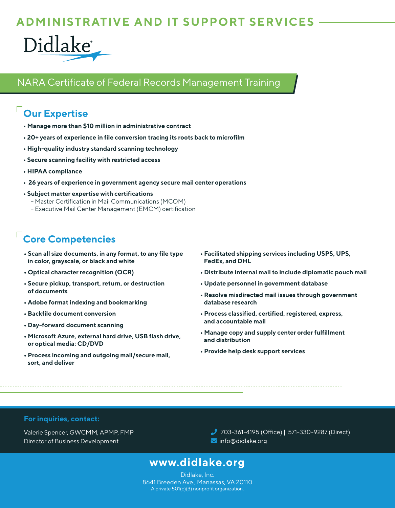## **ADMINISTRATIVE AND IT SUPPORT SERVICES**



### NARA Certificate of Federal Records Management Training

# **Our Expertise**

- **Manage more than \$10 million in administrative contract**
- **20+ years of experience in file conversion tracing its roots back to microfilm**
- **High-quality industry standard scanning technology**
- **Secure scanning facility with restricted access**
- **HIPAA compliance**
- **26 years of experience in government agency secure mail center operations**
- **Subject matter expertise with certifications** 
	- Master Certification in Mail Communications (MCOM)
	- Executive Mail Center Management (EMCM) certification

# **Core Competencies**

- **Scan all size documents, in any format, to any file type in color, grayscale, or black and white**
- **Optical character recognition (OCR)**
- **Secure pickup, transport, return, or destruction of documents**
- **Adobe format indexing and bookmarking**
- **Backfile document conversion**
- **Day-forward document scanning**
- **Microsoft Azure, external hard drive, USB flash drive, or optical media: CD/DVD**
- **Process incoming and outgoing mail/secure mail, sort, and deliver**
- **Facilitated shipping services including USPS, UPS, FedEx, and DHL**
- **Distribute internal mail to include diplomatic pouch mail**
- **Update personnel in government database**
- **Resolve misdirected mail issues through government database research**
- **Process classified, certified, registered, express, and accountable mail**
- **Manage copy and supply center order fulfillment and distribution**
- **Provide help desk support services**

#### **For inquiries, contact:**

Valerie Spencer, GWCMM, APMP, FMP Director of Business Development

 703-361-4195 (Office) | 571-330-9287 (Direct) Info@didlake.org

## **www.didlake.org**

Didlake, Inc. 8641 Breeden Ave., Manassas, VA 20110 A private 501(c)(3) nonprofit organization.